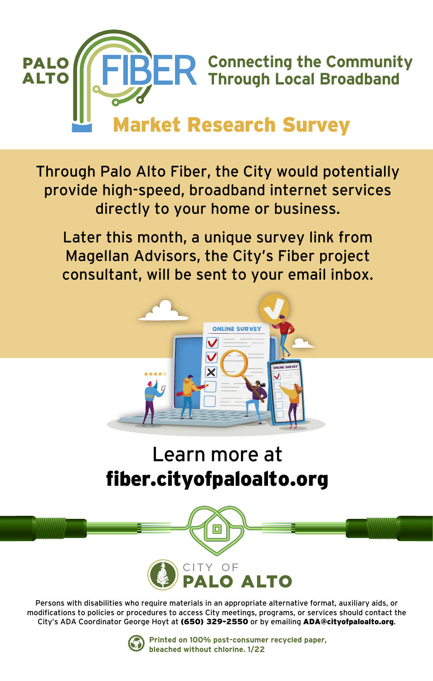

Through Palo Alto Fiber, the City would potentially provide high-speed, broadband internet services directly to your home or business.

Later this month, a unique survey link from Magellan Advisors, the City's Fiber project consultant, will be sent to your email inbox.



## Learn more at fiber.cityofpaloalto.org



Persons with disabilities who require materials in an appropriate alternative format, auxiliary aids, or modifications to policies or procedures to access City meetings, programs, or services should contact the City's ADA Coordinator George Hoyt at (650) 329-2550 or by emailing ADA@cityofpaloalto.org.



**Printed on 100% post-consumer recycled paper, bleached without chlorine. 1/22**